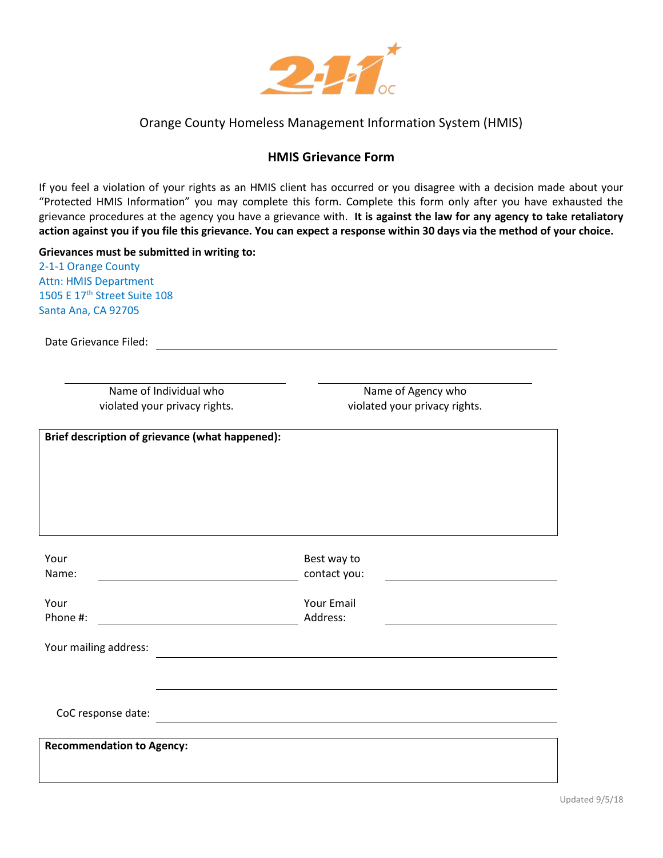

# Orange County Homeless Management Information System (HMIS)

# **HMIS Grievance Form**

If you feel a violation of your rights as an HMIS client has occurred or you disagree with a decision made about your "Protected HMIS Information" you may complete this form. Complete this form only after you have exhausted the grievance procedures at the agency you have a grievance with. **It is against the law for any agency to take retaliatory action against you if you file this grievance. You can expect a response within 30 days via the method of your choice.**

#### **Grievances must be submitted in writing to:**

2-1-1 Orange County Attn: HMIS Department 1505 E 17<sup>th</sup> Street Suite 108 Santa Ana, CA 92705

Date Grievance Filed:

Name of Individual who violated your privacy rights.

Name of Agency who violated your privacy rights.

**Brief description of grievance (what happened):**

| Your<br>Name:                    | Best way to<br>contact you: |  |
|----------------------------------|-----------------------------|--|
| Your<br>Phone #:                 | Your Email<br>Address:      |  |
| Your mailing address:            |                             |  |
|                                  |                             |  |
| CoC response date:               |                             |  |
| <b>Recommendation to Agency:</b> |                             |  |